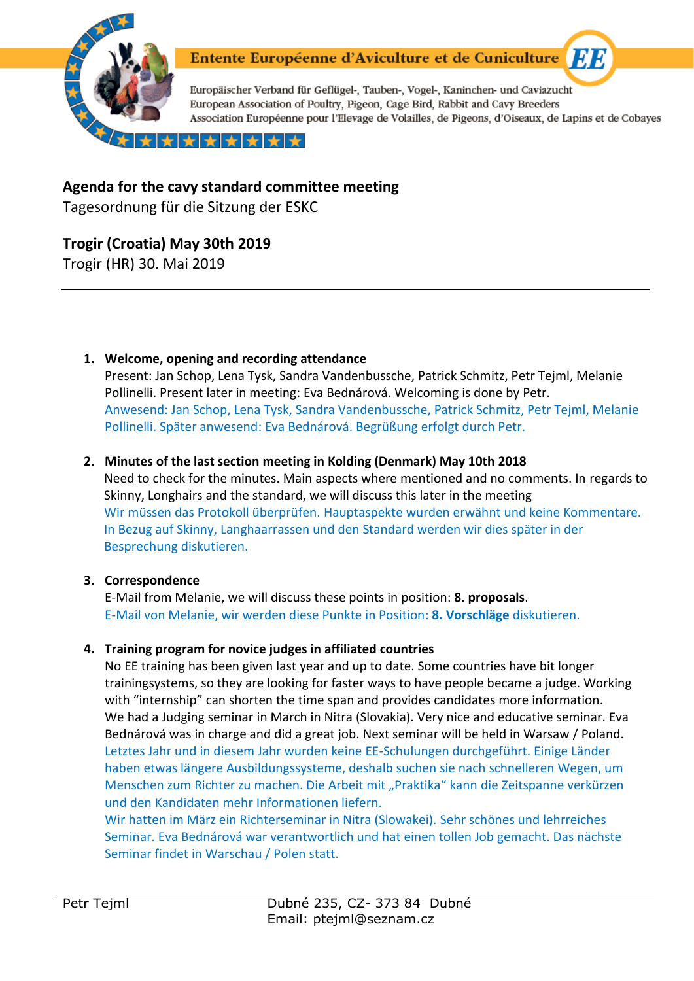

# Entente Européenne d'Aviculture et de Cuniculture

Europäischer Verband für Geflügel-, Tauben-, Vogel-, Kaninchen- und Caviazucht European Association of Poultry, Pigeon, Cage Bird, Rabbit and Cavy Breeders Association Européenne pour l'Elevage de Volailles, de Pigeons, d'Oiseaux, de Lapins et de Cobayes

**ET B** 

╈╟╈╟╈╎

# **Agenda for the cavy standard committee meeting**

Tagesordnung für die Sitzung der ESKC

# **Trogir (Croatia) May 30th 2019**

Trogir (HR) 30. Mai 2019

**1. Welcome, opening and recording attendance**

Present: Jan Schop, Lena Tysk, Sandra Vandenbussche, Patrick Schmitz, Petr Tejml, Melanie Pollinelli. Present later in meeting: Eva Bednárová. Welcoming is done by Petr. Anwesend: Jan Schop, Lena Tysk, Sandra Vandenbussche, Patrick Schmitz, Petr Tejml, Melanie Pollinelli. Später anwesend: Eva Bednárová. Begrüßung erfolgt durch Petr.

## **2. Minutes of the last section meeting in Kolding (Denmark) May 10th 2018**

Need to check for the minutes. Main aspects where mentioned and no comments. In regards to Skinny, Longhairs and the standard, we will discuss this later in the meeting Wir müssen das Protokoll überprüfen. Hauptaspekte wurden erwähnt und keine Kommentare. In Bezug auf Skinny, Langhaarrassen und den Standard werden wir dies später in der Besprechung diskutieren.

## **3. Correspondence**

E-Mail from Melanie, we will discuss these points in position: **8. proposals**. E-Mail von Melanie, wir werden diese Punkte in Position: **8. Vorschläge** diskutieren.

## **4. Training program for novice judges in affiliated countries**

No EE training has been given last year and up to date. Some countries have bit longer trainingsystems, so they are looking for faster ways to have people became a judge. Working with "internship" can shorten the time span and provides candidates more information. We had a Judging seminar in March in Nitra (Slovakia). Very nice and educative seminar. Eva Bednárová was in charge and did a great job. Next seminar will be held in Warsaw / Poland. Letztes Jahr und in diesem Jahr wurden keine EE-Schulungen durchgeführt. Einige Länder haben etwas längere Ausbildungssysteme, deshalb suchen sie nach schnelleren Wegen, um Menschen zum Richter zu machen. Die Arbeit mit "Praktika" kann die Zeitspanne verkürzen und den Kandidaten mehr Informationen liefern.

Wir hatten im März ein Richterseminar in Nitra (Slowakei). Sehr schönes und lehrreiches Seminar. Eva Bednárová war verantwortlich und hat einen tollen Job gemacht. Das nächste Seminar findet in Warschau / Polen statt.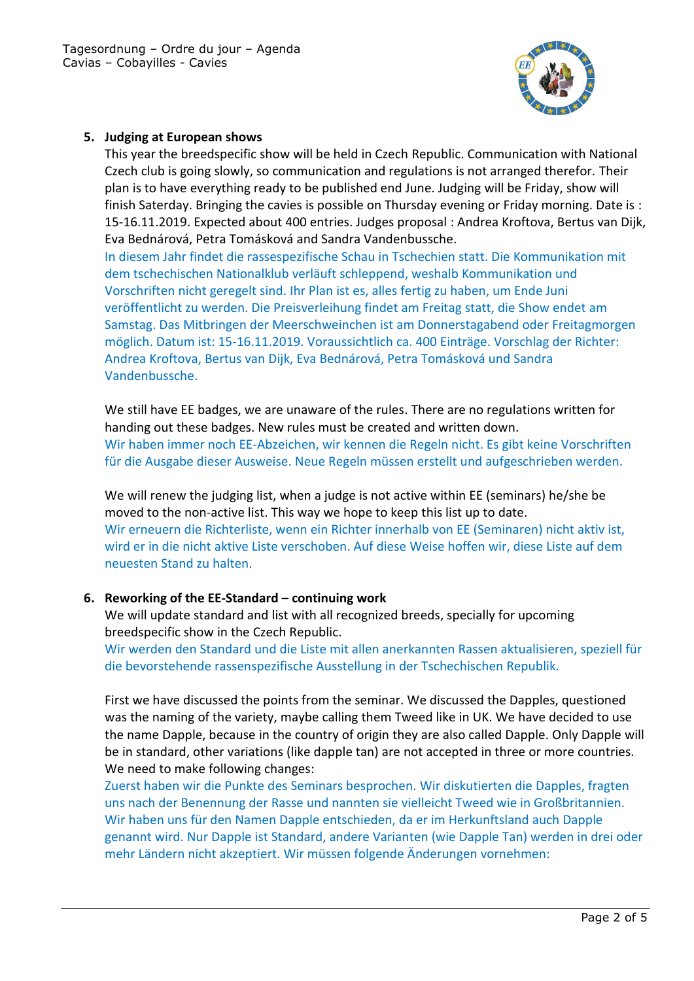

### **5. Judging at European shows**

This year the breedspecific show will be held in Czech Republic. Communication with National Czech club is going slowly, so communication and regulations is not arranged therefor. Their plan is to have everything ready to be published end June. Judging will be Friday, show will finish Saterday. Bringing the cavies is possible on Thursday evening or Friday morning. Date is : 15-16.11.2019. Expected about 400 entries. Judges proposal : Andrea Kroftova, Bertus van Dijk, Eva Bednárová, Petra Tomásková and Sandra Vandenbussche.

In diesem Jahr findet die rassespezifische Schau in Tschechien statt. Die Kommunikation mit dem tschechischen Nationalklub verläuft schleppend, weshalb Kommunikation und Vorschriften nicht geregelt sind. Ihr Plan ist es, alles fertig zu haben, um Ende Juni veröffentlicht zu werden. Die Preisverleihung findet am Freitag statt, die Show endet am Samstag. Das Mitbringen der Meerschweinchen ist am Donnerstagabend oder Freitagmorgen möglich. Datum ist: 15-16.11.2019. Voraussichtlich ca. 400 Einträge. Vorschlag der Richter: Andrea Kroftova, Bertus van Dijk, Eva Bednárová, Petra Tomásková und Sandra Vandenbussche.

We still have EE badges, we are unaware of the rules. There are no regulations written for handing out these badges. New rules must be created and written down. Wir haben immer noch EE-Abzeichen, wir kennen die Regeln nicht. Es gibt keine Vorschriften für die Ausgabe dieser Ausweise. Neue Regeln müssen erstellt und aufgeschrieben werden.

We will renew the judging list, when a judge is not active within EE (seminars) he/she be moved to the non-active list. This way we hope to keep this list up to date. Wir erneuern die Richterliste, wenn ein Richter innerhalb von EE (Seminaren) nicht aktiv ist, wird er in die nicht aktive Liste verschoben. Auf diese Weise hoffen wir, diese Liste auf dem neuesten Stand zu halten.

#### **6. Reworking of the EE-Standard – continuing work**

We will update standard and list with all recognized breeds, specially for upcoming breedspecific show in the Czech Republic.

Wir werden den Standard und die Liste mit allen anerkannten Rassen aktualisieren, speziell für die bevorstehende rassenspezifische Ausstellung in der Tschechischen Republik.

First we have discussed the points from the seminar. We discussed the Dapples, questioned was the naming of the variety, maybe calling them Tweed like in UK. We have decided to use the name Dapple, because in the country of origin they are also called Dapple. Only Dapple will be in standard, other variations (like dapple tan) are not accepted in three or more countries. We need to make following changes:

Zuerst haben wir die Punkte des Seminars besprochen. Wir diskutierten die Dapples, fragten uns nach der Benennung der Rasse und nannten sie vielleicht Tweed wie in Großbritannien. Wir haben uns für den Namen Dapple entschieden, da er im Herkunftsland auch Dapple genannt wird. Nur Dapple ist Standard, andere Varianten (wie Dapple Tan) werden in drei oder mehr Ländern nicht akzeptiert. Wir müssen folgende Änderungen vornehmen: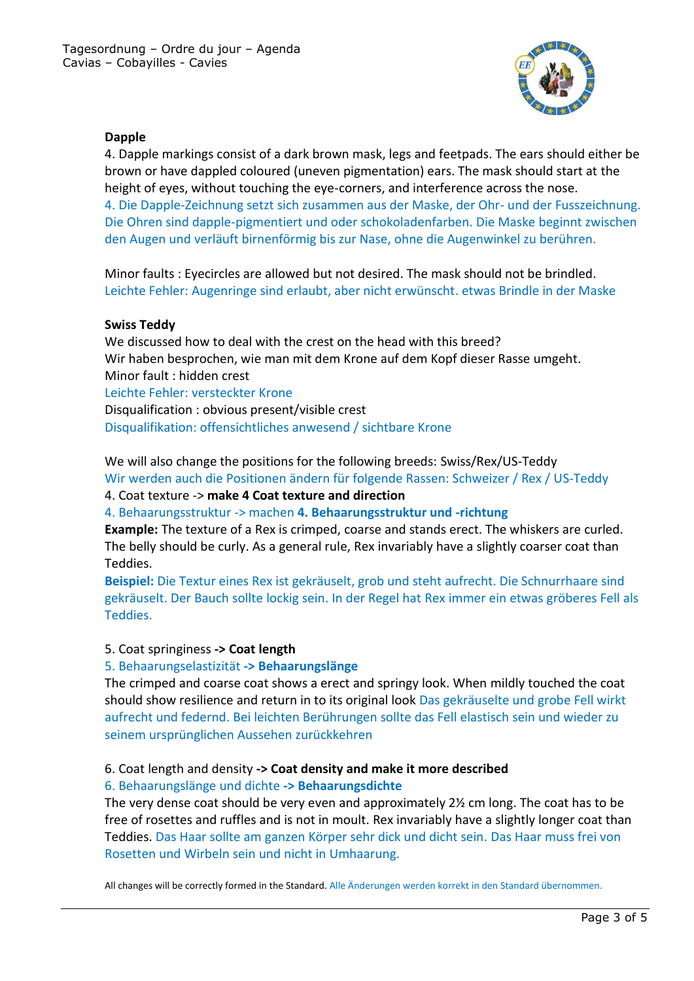

#### **Dapple**

4. Dapple markings consist of a dark brown mask, legs and feetpads. The ears should either be brown or have dappled coloured (uneven pigmentation) ears. The mask should start at the height of eyes, without touching the eye-corners, and interference across the nose. 4. Die Dapple-Zeichnung setzt sich zusammen aus der Maske, der Ohr- und der Fusszeichnung. Die Ohren sind dapple-pigmentiert und oder schokoladenfarben. Die Maske beginnt zwischen den Augen und verläuft birnenförmig bis zur Nase, ohne die Augenwinkel zu berühren.

Minor faults : Eyecircles are allowed but not desired. The mask should not be brindled. Leichte Fehler: Augenringe sind erlaubt, aber nicht erwünscht. etwas Brindle in der Maske

#### **Swiss Teddy**

We discussed how to deal with the crest on the head with this breed? Wir haben besprochen, wie man mit dem Krone auf dem Kopf dieser Rasse umgeht. Minor fault : hidden crest Leichte Fehler: versteckter Krone Disqualification : obvious present/visible crest Disqualifikation: offensichtliches anwesend / sichtbare Krone

We will also change the positions for the following breeds: Swiss/Rex/US-Teddy Wir werden auch die Positionen ändern für folgende Rassen: Schweizer / Rex / US-Teddy

4. Coat texture -> **make 4 Coat texture and direction**

4. Behaarungsstruktur -> machen **4. Behaarungsstruktur und -richtung**

**Example:** The texture of a Rex is crimped, coarse and stands erect. The whiskers are curled. The belly should be curly. As a general rule, Rex invariably have a slightly coarser coat than Teddies.

**Beispiel:** Die Textur eines Rex ist gekräuselt, grob und steht aufrecht. Die Schnurrhaare sind gekräuselt. Der Bauch sollte lockig sein. In der Regel hat Rex immer ein etwas gröberes Fell als Teddies.

#### 5. Coat springiness **-> Coat length**

#### 5. Behaarungselastizität **-> Behaarungslänge**

The crimped and coarse coat shows a erect and springy look. When mildly touched the coat should show resilience and return in to its original look Das gekräuselte und grobe Fell wirkt aufrecht und federnd. Bei leichten Berührungen sollte das Fell elastisch sein und wieder zu seinem ursprünglichen Aussehen zurückkehren

#### 6. Coat length and density **-> Coat density and make it more described**

#### 6. Behaarungslänge und dichte **-> Behaarungsdichte**

The very dense coat should be very even and approximately 2½ cm long. The coat has to be free of rosettes and ruffles and is not in moult. Rex invariably have a slightly longer coat than Teddies. Das Haar sollte am ganzen Körper sehr dick und dicht sein. Das Haar muss frei von Rosetten und Wirbeln sein und nicht in Umhaarung.

All changes will be correctly formed in the Standard. Alle Änderungen werden korrekt in den Standard übernommen.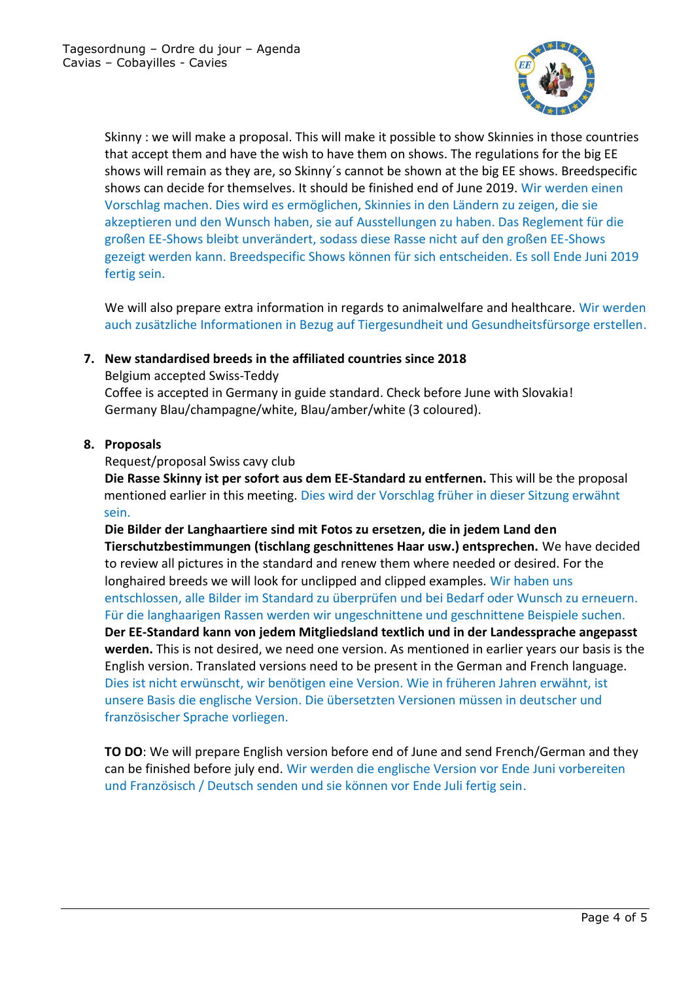

Skinny : we will make a proposal. This will make it possible to show Skinnies in those countries that accept them and have the wish to have them on shows. The regulations for the big EE shows will remain as they are, so Skinny´s cannot be shown at the big EE shows. Breedspecific shows can decide for themselves. It should be finished end of June 2019. Wir werden einen Vorschlag machen. Dies wird es ermöglichen, Skinnies in den Ländern zu zeigen, die sie akzeptieren und den Wunsch haben, sie auf Ausstellungen zu haben. Das Reglement für die großen EE-Shows bleibt unverändert, sodass diese Rasse nicht auf den großen EE-Shows gezeigt werden kann. Breedspecific Shows können für sich entscheiden. Es soll Ende Juni 2019 fertig sein.

We will also prepare extra information in regards to animalwelfare and healthcare. Wir werden auch zusätzliche Informationen in Bezug auf Tiergesundheit und Gesundheitsfürsorge erstellen.

### **7. New standardised breeds in the affiliated countries since 2018**

Belgium accepted Swiss-Teddy Coffee is accepted in Germany in guide standard. Check before June with Slovakia! Germany Blau/champagne/white, Blau/amber/white (3 coloured).

#### **8. Proposals**

Request/proposal Swiss cavy club

**Die Rasse Skinny ist per sofort aus dem EE-Standard zu entfernen.** This will be the proposal mentioned earlier in this meeting. Dies wird der Vorschlag früher in dieser Sitzung erwähnt sein.

**Die Bilder der Langhaartiere sind mit Fotos zu ersetzen, die in jedem Land den Tierschutzbestimmungen (tischlang geschnittenes Haar usw.) entsprechen.** We have decided to review all pictures in the standard and renew them where needed or desired. For the longhaired breeds we will look for unclipped and clipped examples. Wir haben uns entschlossen, alle Bilder im Standard zu überprüfen und bei Bedarf oder Wunsch zu erneuern. Für die langhaarigen Rassen werden wir ungeschnittene und geschnittene Beispiele suchen. **Der EE-Standard kann von jedem Mitgliedsland textlich und in der Landessprache angepasst werden.** This is not desired, we need one version. As mentioned in earlier years our basis is the English version. Translated versions need to be present in the German and French language. Dies ist nicht erwünscht, wir benötigen eine Version. Wie in früheren Jahren erwähnt, ist unsere Basis die englische Version. Die übersetzten Versionen müssen in deutscher und französischer Sprache vorliegen.

**TO DO**: We will prepare English version before end of June and send French/German and they can be finished before july end. Wir werden die englische Version vor Ende Juni vorbereiten und Französisch / Deutsch senden und sie können vor Ende Juli fertig sein.